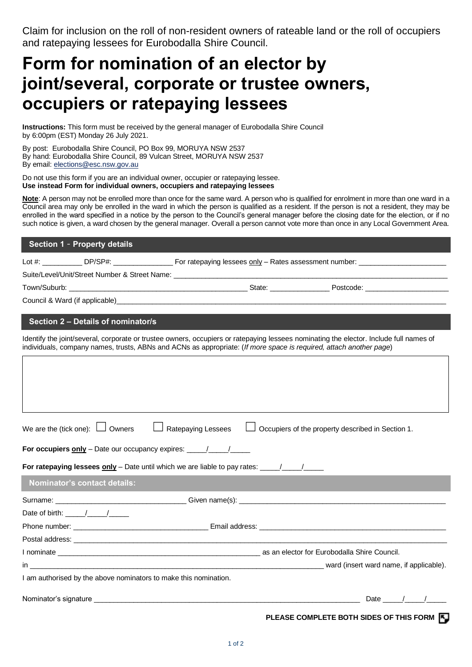Claim for inclusion on the roll of non-resident owners of rateable land or the roll of occupiers and ratepaying lessees for Eurobodalla Shire Council.

## **Form for nomination of an elector by joint/several, corporate or trustee owners, occupiers or ratepaying lessees**

**Instructions:** This form must be received by the general manager of Eurobodalla Shire Council by 6:00pm (EST) Monday 26 July 2021.

By post: Eurobodalla Shire Council, PO Box 99, MORUYA NSW 2537 By hand: Eurobodalla Shire Council, 89 Vulcan Street, MORUYA NSW 2537 By email: [elections@esc.nsw.gov.au](mailto:elections@esc.nsw.gov.au)

Do not use this form if you are an individual owner, occupier or ratepaying lessee. **Use instead Form for individual owners, occupiers and ratepaying lessees**

**Note**: A person may not be enrolled more than once for the same ward. A person who is qualified for enrolment in more than one ward in a Council area may only be enrolled in the ward in which the person is qualified as a resident. If the person is not a resident, they may be enrolled in the ward specified in a notice by the person to the Council's general manager before the closing date for the election, or if no such notice is given, a ward chosen by the general manager. Overall a person cannot vote more than once in any Local Government Area.

## **Section 1** – **Property details**

Lot #: \_\_\_\_\_\_\_\_\_\_\_\_ DP/SP#: \_\_\_\_\_\_\_\_\_\_\_\_\_\_\_\_\_\_\_ For ratepaying lessees only – Rates assessment number: \_

Suite/Level/Unit/Street Number & Street Name:

Town/Suburb: \_\_\_\_\_\_\_\_\_\_\_\_\_\_\_\_\_\_\_\_\_\_\_\_\_\_\_\_\_\_\_\_\_\_\_\_\_\_\_\_\_\_\_\_\_ State: \_\_\_\_\_\_\_\_\_\_\_\_\_\_\_ Postcode: \_\_\_\_\_\_\_\_\_\_\_\_\_\_\_\_\_\_\_\_\_

Council & Ward (if applicable)

## **Section 2 – Details of nominator/s**

Identify the joint/several, corporate or trustee owners, occupiers or ratepaying lessees nominating the elector. Include full names of individuals, company names, trusts, ABNs and ACNs as appropriate: (*If more space is required, attach another page*)

| We are the (tick one): $\Box$ Owners $\Box$ Ratepaying Lessees $\Box$ Occupiers of the property described in Section 1. |            |
|-------------------------------------------------------------------------------------------------------------------------|------------|
| For occupiers only - Date our occupancy expires: _______________________________                                        |            |
| For ratepaying lessees $only – Date until which we are liable to pay rates: __________/__________$                      |            |
| <b>Nominator's contact details:</b>                                                                                     |            |
|                                                                                                                         |            |
| Date of birth: $\frac{1}{2}$ $\frac{1}{2}$ $\frac{1}{2}$ $\frac{1}{2}$                                                  |            |
|                                                                                                                         |            |
|                                                                                                                         |            |
|                                                                                                                         |            |
|                                                                                                                         |            |
| I am authorised by the above nominators to make this nomination.                                                        |            |
|                                                                                                                         | Date $/$ / |

**PLEASE COMPLETE BOTH SIDES OF THIS FORM**